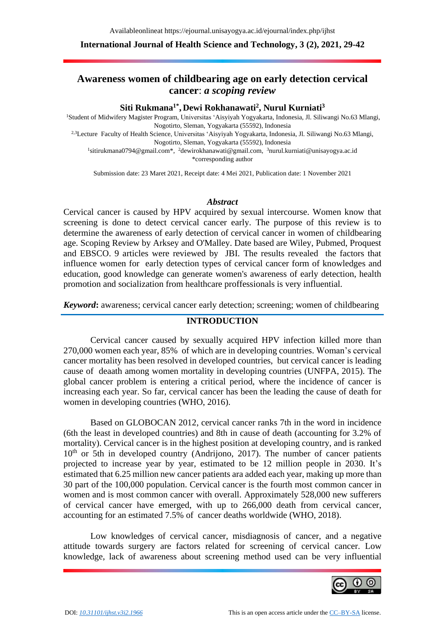### **International Journal of Health Science and Technology, 3 (2), 2021, 29-42**

# **Awareness women of childbearing age on early detection cervical cancer**: *a scoping review*

### **Siti Rukmana1\* , Dewi Rokhanawati<sup>2</sup> , Nurul Kurniati<sup>3</sup>**

<sup>1</sup>Student of Midwifery Magister Program, Universitas 'Aisyiyah Yogyakarta, Indonesia, Jl. Siliwangi No.63 Mlangi, Nogotirto, Sleman, Yogyakarta (55592), Indonesia

2,3Lecture Faculty of Health Science, Universitas 'Aisyiyah Yogyakarta, Indonesia, Jl. Siliwangi No.63 Mlangi, Nogotirto, Sleman, Yogyakarta (55592), Indonesia

<sup>1</sup>sitirukmana0794@gmail.com<sup>\*</sup>, <sup>2</sup>[dewirokhanawati@gmail.com,](mailto:2dewirokhanawati@gmail.com) <sup>3</sup>[nurul.kurniati@unisayogya.ac.id](mailto:3nurul.kurniati@unisayogya.ac.id) \*corresponding author

Submission date: 23 Maret 2021, Receipt date: 4 Mei 2021, Publication date: 1 November 2021

#### *Abstract*

Cervical cancer is caused by HPV acquired by sexual intercourse. Women know that screening is done to detect cervical cancer early. The purpose of this review is to determine the awareness of early detection of cervical cancer in women of childbearing age. Scoping Review by Arksey and O'Malley. Date based are Wiley, Pubmed, Proquest and EBSCO. 9 articles were reviewed by JBI. The results revealed the factors that influence women for early detection types of cervical cancer form of knowledges and education, good knowledge can generate women's awareness of early detection, health promotion and socialization from healthcare proffessionals is very influential.

*Keyword***:** awareness; cervical cancer early detection; screening; women of childbearing

### **INTRODUCTION**

Cervical cancer caused by sexually acquired HPV infection killed more than 270,000 women each year, 85% of which are in developing countries. Woman's cervical cancer mortality has been resolved in developed countries, but cervical cancer is leading cause of deaath among women mortality in developing countries (UNFPA, 2015). The global cancer problem is entering a critical period, where the incidence of cancer is increasing each year. So far, cervical cancer has been the leading the cause of death for women in developing countries (WHO, 2016).

Based on GLOBOCAN 2012, cervical cancer ranks 7th in the word in incidence (6th the least in developed countries) and 8th in cause of death (accounting for 3.2% of mortality). Cervical cancer is in the highest position at developing country, and is ranked  $10<sup>th</sup>$  or 5th in developed country (Andrijono, 2017). The number of cancer patients projected to increase year by year, estimated to be 12 million people in 2030. It's estimated that 6.25 million new cancer patients ara added each year, making up more than 30 part of the 100,000 population. Cervical cancer is the fourth most common cancer in women and is most common cancer with overall. Approximately 528,000 new sufferers of cervical cancer have emerged, with up to 266,000 death from cervical cancer, accounting for an estimated 7.5% of cancer deaths worldwide (WHO, 2018).

Low knowledges of cervical cancer, misdiagnosis of cancer, and a negative attitude towards surgery are factors related for screening of cervical cancer. Low knowledge, lack of awareness about screening method used can be very influential

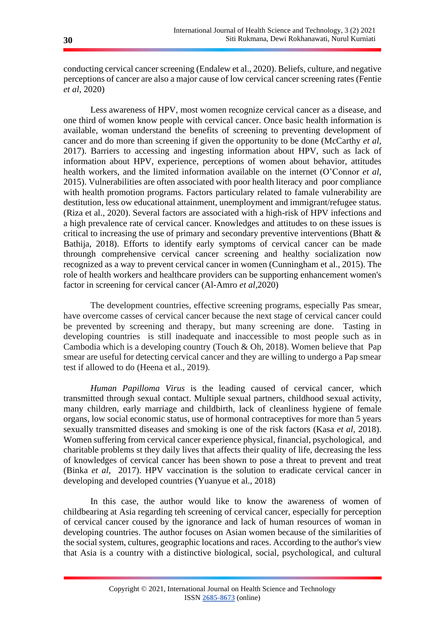conducting cervical cancer screening (Endalew et al., 2020). Beliefs, culture, and negative perceptions of cancer are also a major cause of low cervical cancer screening rates (Fentie *et al*, 2020)

Less awareness of HPV, most women recognize cervical cancer as a disease, and one third of women know people with cervical cancer. Once basic health information is available, woman understand the benefits of screening to preventing development of cancer and do more than screening if given the opportunity to be done (McCarthy *et al*, 2017). Barriers to accessing and ingesting information about HPV, such as lack of information about HPV, experience, perceptions of women about behavior, attitudes health workers, and the limited information available on the internet (O'Connor *et al*, 2015). Vulnerabilities are often associated with poor health literacy and poor compliance with health promotion programs. Factors particulary related to famale vulnerability are destitution, less ow educational attainment, unemployment and immigrant/refugee status. (Riza et al., 2020). Several factors are associated with a high-risk of HPV infections and a high prevalence rate of cervical cancer. Knowledges and attitudes to on these issues is critical to increasing the use of primary and secondary preventive interventions (Bhatt & Bathija, 2018). Efforts to identify early symptoms of cervical cancer can be made throungh comprehensive cervical cancer screening and healthy socialization now recognized as a way to prevent cervical cancer in women (Cunningham et al., 2015). The role of health workers and healthcare providers can be supporting enhancement women's factor in screening for cervical cancer (Al-Amro *et al,*2020)

The development countries, effective screening programs, especially Pas smear, have overcome casses of cervical cancer because the next stage of cervical cancer could be prevented by screening and therapy, but many screening are done. Tasting in developing countries is still inadequate and inaccessible to most people such as in Cambodia which is a developing country (Touch & Oh, 2018). Women believe that Pap smear are useful for detecting cervical cancer and they are willing to undergo a Pap smear test if allowed to do (Heena et al., 2019).

*Human Papilloma Virus* is the leading caused of cervical cancer, which transmitted through sexual contact. Multiple sexual partners, childhood sexual activity, many children, early marriage and childbirth, lack of cleanliness hygiene of female organs, low social economic status, use of hormonal contraceptives for more than 5 years sexually transmitted diseases and smoking is one of the risk factors (Kasa *et al,* 2018). Women suffering from cervical cancer experience physical, financial, psychological, and charitable problems st they daily lives that affects their quality of life, decreasing the less of knowledges of cervical cancer has been shown to pose a threat to prevent and treat (Binka *et al,* 2017). HPV vaccination is the solution to eradicate cervical cancer in developing and developed countries (Yuanyue et al., 2018)

In this case, the author would like to know the awareness of women of childbearing at Asia regarding teh screening of cervical cancer, especially for perception of cervical cancer coused by the ignorance and lack of human resources of woman in developing countries. The author focuses on Asian women because of the similarities of the social system, cultures, geographic locations and races. According to the author's view that Asia is a country with a distinctive biological, social, psychological, and cultural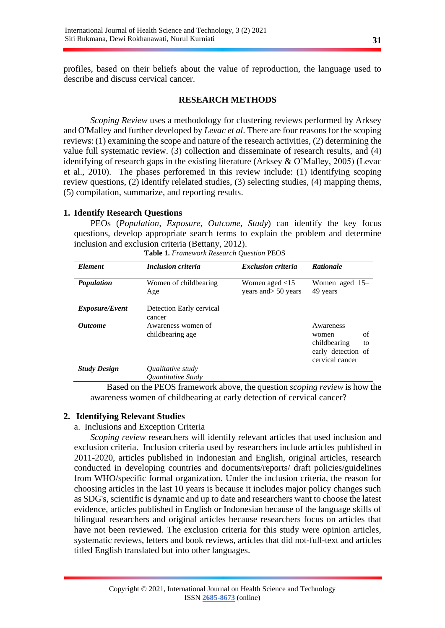profiles, based on their beliefs about the value of reproduction, the language used to describe and discuss cervical cancer.

### **RESEARCH METHODS**

*Scoping Review* uses a methodology for clustering reviews performed by Arksey and O'Malley and further developed by *Levac et al*. There are four reasons for the scoping reviews: (1) examining the scope and nature of the research activities, (2) determining the value full systematic review. (3) collection and disseminate of research results, and (4) identifying of research gaps in the existing literature (Arksey & O'Malley, 2005) (Levac et al., 2010). The phases perforemed in this review include: (1) identifying scoping review questions, (2) identify relelated studies, (3) selecting studies, (4) mapping thems, (5) compilation, summarize, and reporting results.

## **1. Identify Research Questions**

PEOs (*Population, Exposure, Outcome, Study*) can identify the key focus questions, develop appropriate search terms to explain the problem and determine inclusion and exclusion criteria (Bettany, 2012).

| <b>Element</b>        | <b>Inclusion criteria</b>                                           | <b>Exclusion criteria</b>                 | <b>Rationale</b>                                                                        |
|-----------------------|---------------------------------------------------------------------|-------------------------------------------|-----------------------------------------------------------------------------------------|
| <b>Population</b>     | Women of childbearing<br>Age                                        | Women aged $<$ 15<br>years and > 50 years | Women aged $15-$<br>49 years                                                            |
| <i>Exposure/Event</i> | Detection Early cervical<br>cancer                                  |                                           |                                                                                         |
| <i><b>Outcome</b></i> | Awareness women of<br>childbearing age                              |                                           | Awareness<br>of<br>women<br>childbearing<br>to<br>early detection of<br>cervical cancer |
| <b>Study Design</b>   | <i><b>Qualitative study</b></i><br><i><b>Ouantitative Study</b></i> |                                           |                                                                                         |

| Table 1. Framework Research Question PEOS |  |  |
|-------------------------------------------|--|--|

Based on the PEOS framework above, the question *scoping review* is how the awareness women of childbearing at early detection of cervical cancer?

## **2. Identifying Relevant Studies**

## a. Inclusions and Exception Criteria

*Scoping review* researchers will identify relevant articles that used inclusion and exclusion criteria. Inclusion criteria used by researchers include articles published in 2011-2020, articles published in Indonesian and English, original articles, research conducted in developing countries and documents/reports/ draft policies/guidelines from WHO/specific formal organization. Under the inclusion criteria, the reason for choosing articles in the last 10 years is because it includes major policy changes such as SDG's, scientific is dynamic and up to date and researchers want to choose the latest evidence, articles published in English or Indonesian because of the language skills of bilingual researchers and original articles because researchers focus on articles that have not been reviewed. The exclusion criteria for this study were opinion articles, systematic reviews, letters and book reviews, articles that did not-full-text and articles titled English translated but into other languages.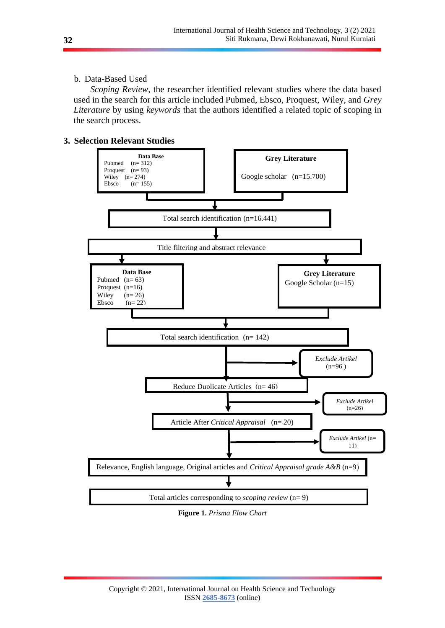## b. Data-Based Used

*Scoping Review*, the researcher identified relevant studies where the data based used in the search for this article included Pubmed, Ebsco, Proquest, Wiley, and *Grey Literature* by using *keywords* that the authors identified a related topic of scoping in the search process.

## **3. Selection Relevant Studies**



**Figure 1.** *Prisma Flow Chart*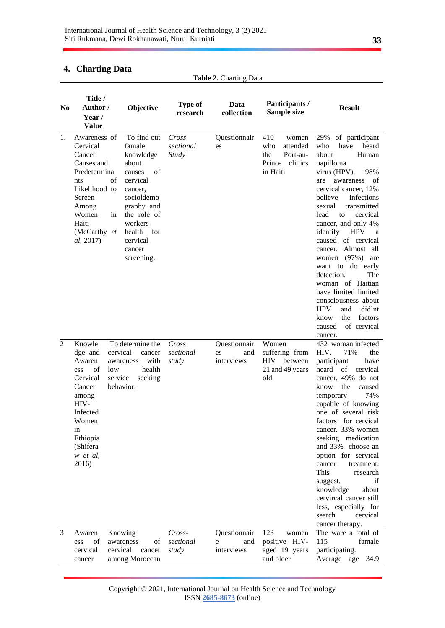## **4. Charting Data**

|                | <b>Table 2. Charting Data</b>                                                                                                                                                  |                                                                                                                                                                                               |                                    |                                         |                                                                                  |                                                                                                                                                                                                                                                                                                                                                                                                                                                                                                                                                                         |
|----------------|--------------------------------------------------------------------------------------------------------------------------------------------------------------------------------|-----------------------------------------------------------------------------------------------------------------------------------------------------------------------------------------------|------------------------------------|-----------------------------------------|----------------------------------------------------------------------------------|-------------------------------------------------------------------------------------------------------------------------------------------------------------------------------------------------------------------------------------------------------------------------------------------------------------------------------------------------------------------------------------------------------------------------------------------------------------------------------------------------------------------------------------------------------------------------|
| N <sub>0</sub> | Title /<br>Author /<br>Year /<br><b>Value</b>                                                                                                                                  | Objective                                                                                                                                                                                     | <b>Type of</b><br>research         | Data<br>collection                      | Participants /<br>Sample size                                                    | <b>Result</b>                                                                                                                                                                                                                                                                                                                                                                                                                                                                                                                                                           |
| 1.             | Awareness of<br>Cervical<br>Cancer<br>Causes and<br>Predetermina<br>of<br>nts<br>Likelihood to<br>Screen<br>Among<br>Women<br>in<br>Haiti<br>(McCarthy et<br><i>al</i> , 2017) | To find out<br>famale<br>knowledge<br>about<br>of<br>causes<br>cervical<br>cancer,<br>socioldemo<br>graphy and<br>the role of<br>workers<br>health<br>for<br>cervical<br>cancer<br>screening. | Cross<br>sectional<br><b>Study</b> | Questionnair<br>es                      | 410<br>women<br>who<br>attended<br>the<br>Port-au-<br>Prince clinics<br>in Haiti | of participant<br>29%<br>have<br>heard<br>who<br>about<br>Human<br>papilloma<br>virus (HPV),<br>98%<br>of<br>awareness<br>are<br>cervical cancer, 12%<br>believe<br>infections<br>sexual<br>transmitted<br>lead<br>cervical<br>to<br>cancer, and only 4%<br>identify<br><b>HPV</b><br>a<br>caused of cervical<br>cancer. Almost<br>all<br>women $(97%)$<br>are<br>want to do early<br>detection.<br>The<br>woman of Haitian<br>have limited limited<br>consciousness about<br>did'nt<br><b>HPV</b><br>and<br>the<br>factors<br>know<br>of cervical<br>caused<br>cancer. |
| $\overline{2}$ | Knowle<br>dge and<br>Awaren<br>of<br>low<br>ess<br>Cervical<br>Cancer<br>among<br>HIV-<br>Infected<br>Women<br>in<br>Ethiopia<br>(Shifera<br>w et al,<br>2016)                 | To determine the<br>cervical<br>cancer<br>with<br>awareness<br>health<br>service<br>seeking<br>behavior.                                                                                      | Cross<br>sectional<br>study        | Questionnair<br>es<br>and<br>interviews | Women<br>suffering from<br><b>HIV</b><br>between<br>21 and 49 years<br>old       | 432 woman infected<br>HIV.<br>71%<br>the<br>participant<br>have<br>cervical<br>heard<br>of<br>cancer, 49% do not<br>the<br>know<br>caused<br>74%<br>temporary<br>capable of knowing<br>one of several risk<br>factors for cervical<br>cancer. 33% women<br>seeking medication<br>and 33% choose an<br>option for servical<br>cancer<br>treatment.<br>This<br>research<br>if<br>suggest,<br>knowledge<br>about<br>cervircal cancer still<br>less, especially for<br>search<br>cervical<br>cancer therapy.                                                                |
| 3              | Awaren<br>of<br>ess<br>cervical<br>cancer                                                                                                                                      | Knowing<br>of<br>awareness<br>cervical<br>cancer<br>among Moroccan                                                                                                                            | Cross-<br>sectional<br>study       | Questionnair<br>and<br>e<br>interviews  | 123<br>women<br>positive HIV-<br>aged 19 years<br>and older                      | The ware a total of<br>115<br>famale<br>participating.<br>Average age<br>34.9                                                                                                                                                                                                                                                                                                                                                                                                                                                                                           |

Copyright © 2021, International Journal on Health Science and Technology ISSN **2685-8673** (online)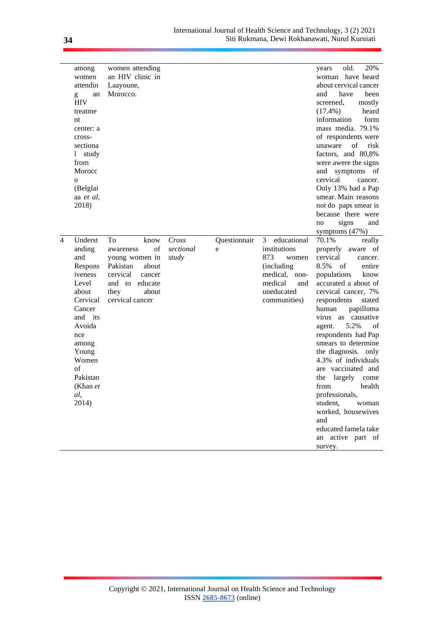|   | among<br>women<br>attendin<br>an<br>g<br><b>HIV</b><br>treatme<br>nt<br>center: a<br>cross-<br>sectiona<br>study<br>1.<br>from<br>Morocc<br>O<br>(Belglai<br>aa et al,<br>2018)             | women attending<br>an HIV clinic in<br>Laayoune,<br>Morocco.                                                                                     |                             |                   |                                                                                                                                 | 20%<br>old.<br>years<br>woman have heard<br>about cervical cancer<br>and<br>have<br>been<br>screened,<br>mostly<br>heard<br>$(17.4\%)$<br>form<br>information<br>mass media. 79.1%<br>of respondents were<br>unaware<br>οf<br>risk<br>factors, and 80,8%<br>were awere the signs<br>and symptoms of<br>cervical<br>cancer.<br>Only 13% had a Pap<br>smear. Main reasons<br>not do paps smear is<br>because there were<br>signs<br>and<br>no                                                                                                                          |
|---|---------------------------------------------------------------------------------------------------------------------------------------------------------------------------------------------|--------------------------------------------------------------------------------------------------------------------------------------------------|-----------------------------|-------------------|---------------------------------------------------------------------------------------------------------------------------------|----------------------------------------------------------------------------------------------------------------------------------------------------------------------------------------------------------------------------------------------------------------------------------------------------------------------------------------------------------------------------------------------------------------------------------------------------------------------------------------------------------------------------------------------------------------------|
| 4 | Underst<br>anding<br>and<br>Respons<br>iveness<br>Level<br>about<br>Cervical<br>Cancer<br>and its<br>Avoida<br>nce<br>among<br>Young<br>Women<br>of<br>Pakistan<br>(Khan et<br>al,<br>2014) | To<br>know<br>of<br>awareness<br>young women in<br>Pakistan<br>about<br>cervical<br>cancer<br>and to educate<br>they<br>about<br>cervical cancer | Cross<br>sectional<br>study | Questionnair<br>e | educational<br>3<br>institutions<br>873<br>women<br>(including<br>medical, non-<br>medical<br>and<br>uneducated<br>communities) | symptoms $(47%)$<br>70.1%<br>really<br>properly aware of<br>cervical<br>cancer.<br>8.5%<br>entire<br>of<br>populations<br>know<br>accurated a about of<br>cervical cancer, 7%<br>respondents<br>stated<br>human<br>papilloma<br>virus as causative<br>5.2%<br>of<br>agent.<br>respondents had Pap<br>smears to determine<br>the diagnosis. only<br>4.3% of individuals<br>are vaccinated and<br>the<br>largely<br>come<br>health<br>from<br>professionals,<br>student,<br>woman<br>worked, housewives<br>and<br>educated famela take<br>an active part of<br>survey. |

l,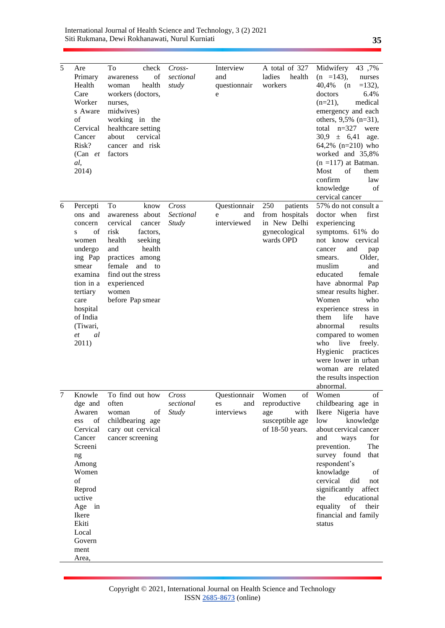| 5 | Are<br>Primary<br>Health<br>Care<br>Worker<br>s Aware<br>of<br>Cervical<br>Cancer<br>Risk?<br>$(Can$ et<br>al,<br>2014)                                                | To<br>check<br>of<br>awareness<br>health<br>woman<br>workers (doctors,<br>nurses.<br>midwives)<br>working in the<br>healthcare setting<br>cervical<br>about<br>cancer and risk<br>factors | Cross-<br>sectional<br>study | Interview<br>and<br>questionnair<br>e | A total of 327<br>ladies<br>health<br>workers     | Midwifery 43,7%<br>$(n = 143)$ ,<br>nurses<br>40,4%<br>$=132$ ),<br>$(n -$<br>6.4%<br>doctors<br>$(n=21)$ ,<br>medical<br>emergency and each<br>others, 9,5% (n=31),<br>total $n=327$<br>were<br>$30.9 \pm 6.41$ age.<br>64,2% (n=210) who<br>worked and 35,8%<br>$(n = 117)$ at Batman.<br>Most<br>of<br>them<br>confirm<br>law<br>knowledge<br>of<br>cervical cancer                                                                    |
|---|------------------------------------------------------------------------------------------------------------------------------------------------------------------------|-------------------------------------------------------------------------------------------------------------------------------------------------------------------------------------------|------------------------------|---------------------------------------|---------------------------------------------------|-------------------------------------------------------------------------------------------------------------------------------------------------------------------------------------------------------------------------------------------------------------------------------------------------------------------------------------------------------------------------------------------------------------------------------------------|
| 6 | Percepti                                                                                                                                                               | To<br>know                                                                                                                                                                                | Cross                        | Questionnair                          | 250<br>patients                                   | 57% do not consult a                                                                                                                                                                                                                                                                                                                                                                                                                      |
|   | ons and                                                                                                                                                                | awareness about                                                                                                                                                                           | Sectional                    | and<br>e                              | from hospitals                                    | doctor when<br>first                                                                                                                                                                                                                                                                                                                                                                                                                      |
|   | concern<br>of<br>S<br>women<br>undergo<br>ing Pap<br>smear<br>examina<br>tion in a<br>tertiary<br>care<br>hospital<br>of India<br>(Tiwari,<br>al<br>et<br>2011)        | cervical<br>cancer<br>risk<br>factors,<br>health<br>seeking<br>health<br>and<br>practices among<br>female<br>and to<br>find out the stress<br>experienced<br>women<br>before Pap smear    | Study                        | interviewed                           | in New Delhi<br>gynecological<br>wards OPD        | experiencing<br>symptoms. 61% do<br>not know cervical<br>and<br>cancer<br>pap<br>Older,<br>smears.<br>muslim<br>and<br>female<br>educated<br>have abnormal Pap<br>smear results higher.<br>Women<br>who<br>experience stress in<br>life<br>them<br>have<br>abnormal<br>results<br>compared to women<br>who<br>live<br>freely.<br>Hygienic<br>practices<br>were lower in urban<br>woman are related<br>the results inspection<br>abnormal. |
|   | Knowle                                                                                                                                                                 | To find out how                                                                                                                                                                           | Cross                        | Questionnair                          | Women<br>of                                       | of<br>Women                                                                                                                                                                                                                                                                                                                                                                                                                               |
|   | dge and                                                                                                                                                                | often                                                                                                                                                                                     | sectional                    | and<br>es                             | reproductive                                      | childbearing age in                                                                                                                                                                                                                                                                                                                                                                                                                       |
|   | Awaren<br>of<br>ess<br>Cervical<br>Cancer<br>Screeni<br>ng<br>Among<br>Women<br>of<br>Reprod<br>uctive<br>Age in<br>Ikere<br>Ekiti<br>Local<br>Govern<br>ment<br>Area, | of<br>woman<br>childbearing age<br>cary out cervical<br>cancer screening                                                                                                                  | <b>Study</b>                 | interviews                            | age<br>with<br>susceptible age<br>of 18-50 years. | Ikere Nigeria have<br>low<br>knowledge<br>about cervical cancer<br>and<br>for<br>ways<br>prevention.<br>The<br>survey found<br>that<br>respondent's<br>knowladge<br>οf<br>cervical<br>did<br>not<br>significantly<br>affect<br>educational<br>the<br>equality<br>of their<br>financial and family<br>status                                                                                                                               |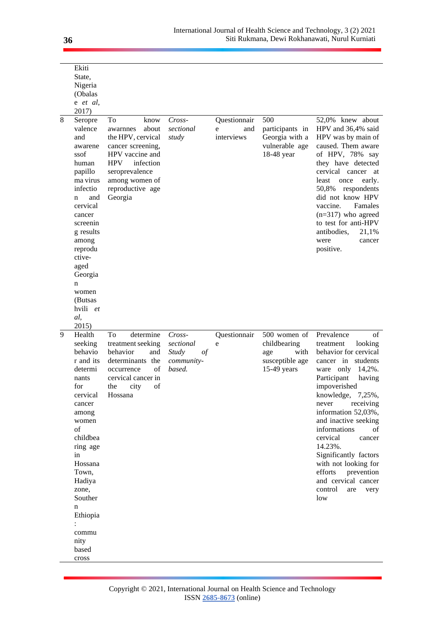|   | Ekiti                                                                                                                                                                                                                                                                             |                                                                                                                                                                                            |                                                                     |                                        |                                                                               |                                                                                                                                                                                                                                                                                                                                                                                                                                             |
|---|-----------------------------------------------------------------------------------------------------------------------------------------------------------------------------------------------------------------------------------------------------------------------------------|--------------------------------------------------------------------------------------------------------------------------------------------------------------------------------------------|---------------------------------------------------------------------|----------------------------------------|-------------------------------------------------------------------------------|---------------------------------------------------------------------------------------------------------------------------------------------------------------------------------------------------------------------------------------------------------------------------------------------------------------------------------------------------------------------------------------------------------------------------------------------|
|   | State,<br>Nigeria                                                                                                                                                                                                                                                                 |                                                                                                                                                                                            |                                                                     |                                        |                                                                               |                                                                                                                                                                                                                                                                                                                                                                                                                                             |
|   | (Obalas                                                                                                                                                                                                                                                                           |                                                                                                                                                                                            |                                                                     |                                        |                                                                               |                                                                                                                                                                                                                                                                                                                                                                                                                                             |
|   | e et al,<br>2017)                                                                                                                                                                                                                                                                 |                                                                                                                                                                                            |                                                                     |                                        |                                                                               |                                                                                                                                                                                                                                                                                                                                                                                                                                             |
| 8 | Seropre<br>valence<br>and<br>awarene<br>ssof<br>human<br>papillo<br>ma virus<br>infectio<br>and<br>n<br>cervical<br>cancer<br>screenin<br>g results<br>among<br>reprodu<br>ctive-<br>aged<br>Georgia<br>n<br>women<br>(Butsas<br>hvili et<br>al,                                  | To<br>know<br>about<br>awarnnes<br>the HPV, cervical<br>cancer screening,<br>HPV vaccine and<br><b>HPV</b><br>infection<br>seroprevalence<br>among women of<br>reproductive age<br>Georgia | $Cross-$<br>sectional<br>study                                      | Questionnair<br>and<br>e<br>interviews | 500<br>participants in<br>Georgia with a<br>vulnerable age<br>18-48 year      | 52,0% knew about<br>HPV and 36,4% said<br>HPV was by main of<br>caused. Them aware<br>of HPV, 78% say<br>they have detected<br>cervical cancer<br>at<br>least<br>once<br>early.<br>50,8%<br>respondents<br>did not know HPV<br>vaccine.<br>Famales<br>$(n=317)$ who agreed<br>to test for anti-HPV<br>antibodies,<br>21,1%<br>were<br>cancer<br>positive.                                                                                   |
| 9 | 2015)<br>Health<br>seeking<br>behavio<br>r and its<br>determi<br>nants<br>for<br>cervical<br>cancer<br>among<br>women<br>of<br>childbea<br>ring age<br>in<br>Hossana<br>Town,<br>Hadiya<br>zone,<br>Souther<br>n<br>Ethiopia<br>$\ddot{\cdot}$<br>commu<br>nity<br>based<br>cross | To<br>determine<br>treatment seeking<br>behavior<br>and<br>determinants the<br>of<br>occurrence<br>cervical cancer in<br>the<br>city<br>of<br>Hossana                                      | $Cross-$<br>sectional<br><b>Study</b><br>οf<br>community-<br>based. | Questionnair<br>e                      | 500 women of<br>childbearing<br>with<br>age<br>susceptible age<br>15-49 years | Prevalence<br>of<br>treatment<br>looking<br>behavior for cervical<br>cancer in students<br>ware only $14,2\%$ .<br>Participant<br>having<br>impoverished<br>knowledge, 7,25%,<br>receiving<br>never<br>information 52,03%,<br>and inactive seeking<br>informations<br>οf<br>cervical<br>cancer<br>14.23%.<br>Significantly factors<br>with not looking for<br>efforts<br>prevention<br>and cervical cancer<br>control<br>are<br>very<br>low |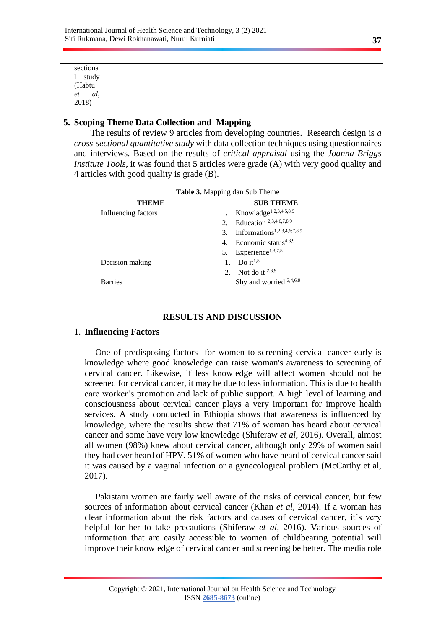| sectiona          |
|-------------------|
| study             |
| (Habtu            |
| al,               |
| $\frac{et}{2018}$ |
|                   |

## **5. Scoping Theme Data Collection and Mapping**

The results of review 9 articles from developing countries. Research design is *a cross-sectional quantitative study* with data collection techniques using questionnaires and interviews. Based on the results of *critical appraisal* using the *Joanna Briggs Institute Tools*, it was found that 5 articles were grade (A) with very good quality and 4 articles with good quality is grade (B).

| Tuble of Mapping aan bab Theme |                                               |  |  |  |  |
|--------------------------------|-----------------------------------------------|--|--|--|--|
| <b>THEME</b>                   | <b>SUB THEME</b>                              |  |  |  |  |
| Influencing factors            | Knowladge <sup>1,2,3,4,5,8,9</sup><br>1.      |  |  |  |  |
|                                | Education 2,3,4,6,7,8,9<br>2.                 |  |  |  |  |
|                                | Informations <sup>1,2,3,4,6;7,8,9</sup><br>3. |  |  |  |  |
|                                | Economic status $4,3,9$<br>4.                 |  |  |  |  |
|                                | Experience <sup>1,3,7,8</sup><br>5.           |  |  |  |  |
| Decision making                | Do it <sup>1,8</sup><br>1.                    |  |  |  |  |
|                                | Not do it $^{2,3,9}$<br>2.                    |  |  |  |  |
| <b>Barries</b>                 | Shy and worried 3,4,6,9                       |  |  |  |  |

**Table 3.** Mapping dan Sub Theme

### **RESULTS AND DISCUSSION**

## 1. **Influencing Factors**

One of predisposing factors for women to screening cervical cancer early is knowledge where good knowledge can raise woman's awareness to screening of cervical cancer. Likewise, if less knowledge will affect women should not be screened for cervical cancer, it may be due to less information. This is due to health care worker's promotion and lack of public support. A high level of learning and consciousness about cervical cancer plays a very important for improve health services. A study conducted in Ethiopia shows that awareness is influenced by knowledge, where the results show that 71% of woman has heard about cervical cancer and some have very low knowledge (Shiferaw *et al*, 2016). Overall, almost all women (98%) knew about cervical cancer, although only 29% of women said they had ever heard of HPV. 51% of women who have heard of cervical cancer said it was caused by a vaginal infection or a gynecological problem (McCarthy et al, 2017).

Pakistani women are fairly well aware of the risks of cervical cancer, but few sources of information about cervical cancer (Khan *et al*, 2014). If a woman has clear information about the risk factors and causes of cervical cancer, it's very helpful for her to take precautions (Shiferaw *et al*, 2016). Various sources of information that are easily accessible to women of childbearing potential will improve their knowledge of cervical cancer and screening be better. The media role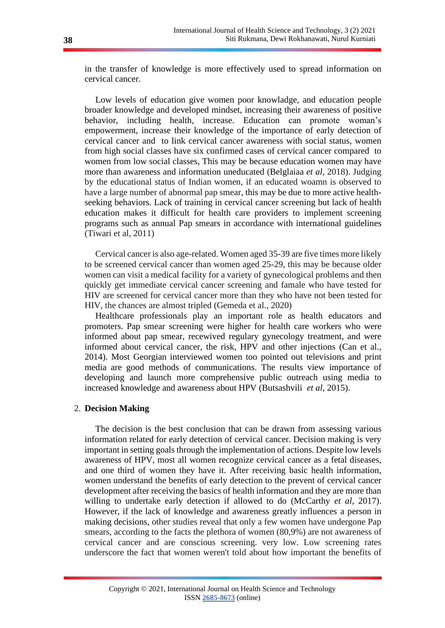in the transfer of knowledge is more effectively used to spread information on cervical cancer.

Low levels of education give women poor knowladge, and education people broader knowledge and developed mindset, increasing their awareness of positive behavior, including health, increase. Education can promote woman's empowerment, increase their knowledge of the importance of early detection of cervical cancer and to link cervical cancer awareness with social status, women from high social classes have six confirmed cases of cervical cancer compared to women from low social classes, This may be because education women may have more than awareness and information uneducated (Belglaiaa *et al*, 2018). Judging by the educational status of Indian women, if an educated woamn is observed to have a large number of abnormal pap smear, this may be due to more active healthseeking behaviors. Lack of training in cervical cancer screening but lack of health education makes it difficult for health care providers to implement screening programs such as annual Pap smears in accordance with international guidelines (Tiwari et al, 2011)

Cervical cancer is also age-related. Women aged 35-39 are five times more likely to be screened cervical cancer than women aged 25-29, this may be because older women can visit a medical facility for a variety of gynecological problems and then quickly get immediate cervical cancer screening and famale who have tested for HIV are screened for cervical cancer more than they who have not been tested for HIV, the chances are almost tripled (Gemeda et al., 2020)

Healthcare professionals play an important role as health educators and promoters. Pap smear screening were higher for health care workers who were informed about pap smear, recewived regulary gynecology treatment, and were informed about cervical cancer, the risk, HPV and other injections (Can et al., 2014). Most Georgian interviewed women too pointed out televisions and print media are good methods of communications. The results view importance of developing and launch more comprehensive public outreach using media to increased knowledge and awareness about HPV (Butsashvili *et al*, 2015).

### 2. **Decision Making**

The decision is the best conclusion that can be drawn from assessing various information related for early detection of cervical cancer. Decision making is very important in setting goals through the implementation of actions. Despite low levels awareness of HPV, most all women recognize cervical cancer as a fetal diseases, and one third of women they have it. After receiving basic health information, women understand the benefits of early detection to the prevent of cervical cancer development after receiving the basics of health information and they are more than willing to undertake early detection if allowed to do (McCarthy *et al*, 2017). However, if the lack of knowledge and awareness greatly influences a person in making decisions, other studies reveal that only a few women have undergone Pap smears, according to the facts the plethora of women (80,9%) are not awareness of cervical cancer and are conscious screening. very low. Low screening rates underscore the fact that women weren't told about how important the benefits of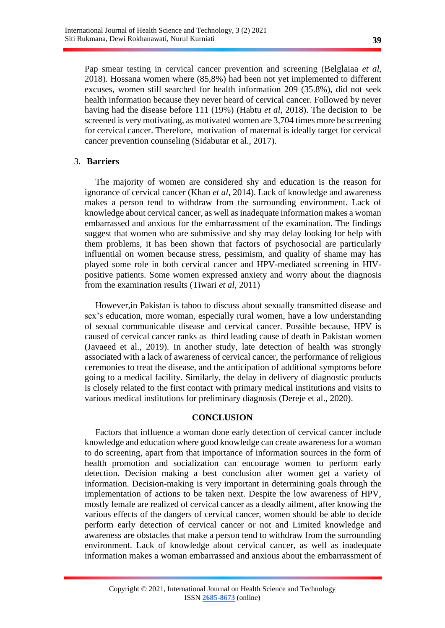Pap smear testing in cervical cancer prevention and screening (Belglaiaa *et al*, 2018). Hossana women where (85,8%) had been not yet implemented to different excuses, women still searched for health information 209 (35.8%), did not seek health information because they never heard of cervical cancer. Followed by never having had the disease before 111 (19%) (Habtu *et al*, 2018). The decision to be screened is very motivating, as motivated women are 3,704 times more be screening for cervical cancer. Therefore, motivation of maternal is ideally target for cervical cancer prevention counseling (Sidabutar et al., 2017).

### 3. **Barriers**

The majority of women are considered shy and education is the reason for ignorance of cervical cancer (Khan *et al*, 2014). Lack of knowledge and awareness makes a person tend to withdraw from the surrounding environment. Lack of knowledge about cervical cancer, as well as inadequate information makes a woman embarrassed and anxious for the embarrassment of the examination. The findings suggest that women who are submissive and shy may delay looking for help with them problems, it has been shown that factors of psychosocial are particularly influential on women because stress, pessimism, and quality of shame may has played some role in both cervical cancer and HPV-mediated screening in HIVpositive patients. Some women expressed anxiety and worry about the diagnosis from the examination results (Tiwari *et al*, 2011)

However,in Pakistan is taboo to discuss about sexually transmitted disease and sex's education, more woman, especially rural women, have a low understanding of sexual communicable disease and cervical cancer. Possible because, HPV is caused of cervical cancer ranks as third leading cause of death in Pakistan women (Javaeed et al., 2019). In another study, late detection of health was strongly associated with a lack of awareness of cervical cancer, the performance of religious ceremonies to treat the disease, and the anticipation of additional symptoms before going to a medical facility. Similarly, the delay in delivery of diagnostic products is closely related to the first contact with primary medical institutions and visits to various medical institutions for preliminary diagnosis (Dereje et al., 2020).

### **CONCLUSION**

Factors that influence a woman done early detection of cervical cancer include knowledge and education where good knowledge can create awareness for a woman to do screening, apart from that importance of information sources in the form of health promotion and socialization can encourage women to perform early detection. Decision making a best conclusion after women get a variety of information. Decision-making is very important in determining goals through the implementation of actions to be taken next. Despite the low awareness of HPV, mostly female are realized of cervical cancer as a deadly ailment, after knowing the various effects of the dangers of cervical cancer, women should be able to decide perform early detection of cervical cancer or not and Limited knowledge and awareness are obstacles that make a person tend to withdraw from the surrounding environment. Lack of knowledge about cervical cancer, as well as inadequate information makes a woman embarrassed and anxious about the embarrassment of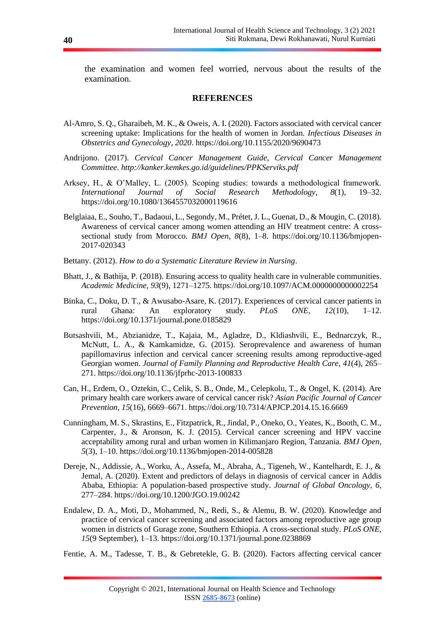the examination and women feel worried, nervous about the results of the examination.

#### **REFERENCES**

- Al-Amro, S. Q., Gharaibeh, M. K., & Oweis, A. I. (2020). Factors associated with cervical cancer screening uptake: Implications for the health of women in Jordan. *Infectious Diseases in Obstetrics and Gynecology*, *2020*. https://doi.org/10.1155/2020/9690473
- Andrijono. (2017). *Cervical Cancer Management Guide, Cervical Cancer Management Committee. http://kanker.kemkes.go.id/guidelines/PPKServiks.pdf*
- Arksey, H., & O'Malley, L. (2005). Scoping studies: towards a methodological framework. *International Journal of Social Research Methodology*, *8*(1), 19–32. https://doi.org/10.1080/1364557032000119616
- Belglaiaa, E., Souho, T., Badaoui, L., Segondy, M., Prétet, J. L., Guenat, D., & Mougin, C. (2018). Awareness of cervical cancer among women attending an HIV treatment centre: A crosssectional study from Morocco. *BMJ Open*, *8*(8), 1–8. https://doi.org/10.1136/bmjopen-2017-020343
- Bettany. (2012). *How to do a Systematic Literature Review in Nursing*.
- Bhatt, J., & Bathija, P. (2018). Ensuring access to quality health care in vulnerable communities. *Academic Medicine*, *93*(9), 1271–1275. https://doi.org/10.1097/ACM.0000000000002254
- Binka, C., Doku, D. T., & Awusabo-Asare, K. (2017). Experiences of cervical cancer patients in rural Ghana: An exploratory study. *PLoS ONE*, *12*(10), 1–12. https://doi.org/10.1371/journal.pone.0185829
- Butsashvili, M., Abzianidze, T., Kajaia, M., Agladze, D., Kldiashvili, E., Bednarczyk, R., McNutt, L. A., & Kamkamidze, G. (2015). Seroprevalence and awareness of human papillomavirus infection and cervical cancer screening results among reproductive-aged Georgian women. *Journal of Family Planning and Reproductive Health Care*, *41*(4), 265– 271. https://doi.org/10.1136/jfprhc-2013-100833
- Can, H., Erdem, O., Oztekin, C., Celik, S. B., Onde, M., Celepkolu, T., & Ongel, K. (2014). Are primary health care workers aware of cervical cancer risk? *Asian Pacific Journal of Cancer Prevention*, *15*(16), 6669–6671. https://doi.org/10.7314/APJCP.2014.15.16.6669
- Cunningham, M. S., Skrastins, E., Fitzpatrick, R., Jindal, P., Oneko, O., Yeates, K., Booth, C. M., Carpenter, J., & Aronson, K. J. (2015). Cervical cancer screening and HPV vaccine acceptability among rural and urban women in Kilimanjaro Region, Tanzania. *BMJ Open*, *5*(3), 1–10. https://doi.org/10.1136/bmjopen-2014-005828
- Dereje, N., Addissie, A., Worku, A., Assefa, M., Abraha, A., Tigeneh, W., Kantelhardt, E. J., & Jemal, A. (2020). Extent and predictors of delays in diagnosis of cervical cancer in Addis Ababa, Ethiopia: A population-based prospective study. *Journal of Global Oncology*, *6*, 277–284. https://doi.org/10.1200/JGO.19.00242
- Endalew, D. A., Moti, D., Mohammed, N., Redi, S., & Alemu, B. W. (2020). Knowledge and practice of cervical cancer screening and associated factors among reproductive age group women in districts of Gurage zone, Southern Ethiopia. A cross-sectional study. *PLoS ONE*, *15*(9 September), 1–13. https://doi.org/10.1371/journal.pone.0238869

Fentie, A. M., Tadesse, T. B., & Gebretekle, G. B. (2020). Factors affecting cervical cancer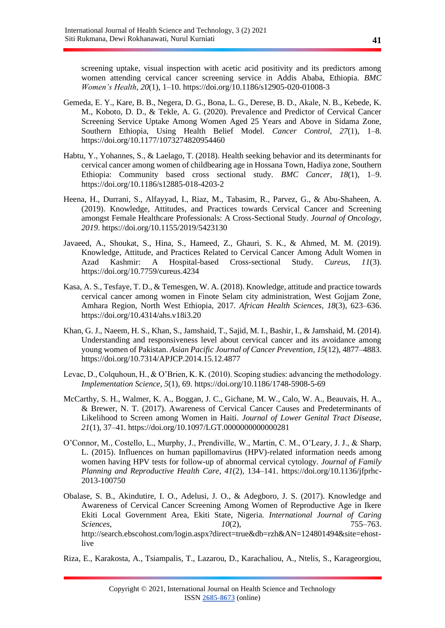screening uptake, visual inspection with acetic acid positivity and its predictors among women attending cervical cancer screening service in Addis Ababa, Ethiopia. *BMC Women's Health*, *20*(1), 1–10. https://doi.org/10.1186/s12905-020-01008-3

- Gemeda, E. Y., Kare, B. B., Negera, D. G., Bona, L. G., Derese, B. D., Akale, N. B., Kebede, K. M., Koboto, D. D., & Tekle, A. G. (2020). Prevalence and Predictor of Cervical Cancer Screening Service Uptake Among Women Aged 25 Years and Above in Sidama Zone, Southern Ethiopia, Using Health Belief Model. *Cancer Control*, *27*(1), 1–8. https://doi.org/10.1177/1073274820954460
- Habtu, Y., Yohannes, S., & Laelago, T. (2018). Health seeking behavior and its determinants for cervical cancer among women of childbearing age in Hossana Town, Hadiya zone, Southern Ethiopia: Community based cross sectional study. *BMC Cancer*, *18*(1), 1–9. https://doi.org/10.1186/s12885-018-4203-2
- Heena, H., Durrani, S., Alfayyad, I., Riaz, M., Tabasim, R., Parvez, G., & Abu-Shaheen, A. (2019). Knowledge, Attitudes, and Practices towards Cervical Cancer and Screening amongst Female Healthcare Professionals: A Cross-Sectional Study. *Journal of Oncology*, *2019*. https://doi.org/10.1155/2019/5423130
- Javaeed, A., Shoukat, S., Hina, S., Hameed, Z., Ghauri, S. K., & Ahmed, M. M. (2019). Knowledge, Attitude, and Practices Related to Cervical Cancer Among Adult Women in Azad Kashmir: A Hospital-based Cross-sectional Study. *Cureus*, *11*(3). https://doi.org/10.7759/cureus.4234
- Kasa, A. S., Tesfaye, T. D., & Temesgen, W. A. (2018). Knowledge, attitude and practice towards cervical cancer among women in Finote Selam city administration, West Gojjam Zone, Amhara Region, North West Ethiopia, 2017. *African Health Sciences*, *18*(3), 623–636. https://doi.org/10.4314/ahs.v18i3.20
- Khan, G. J., Naeem, H. S., Khan, S., Jamshaid, T., Sajid, M. I., Bashir, I., & Jamshaid, M. (2014). Understanding and responsiveness level about cervical cancer and its avoidance among young women of Pakistan. *Asian Pacific Journal of Cancer Prevention*, *15*(12), 4877–4883. https://doi.org/10.7314/APJCP.2014.15.12.4877
- Levac, D., Colquhoun, H., & O'Brien, K. K. (2010). Scoping studies: advancing the methodology. *Implementation Science*, *5*(1), 69. https://doi.org/10.1186/1748-5908-5-69
- McCarthy, S. H., Walmer, K. A., Boggan, J. C., Gichane, M. W., Calo, W. A., Beauvais, H. A., & Brewer, N. T. (2017). Awareness of Cervical Cancer Causes and Predeterminants of Likelihood to Screen among Women in Haiti. *Journal of Lower Genital Tract Disease*, *21*(1), 37–41. https://doi.org/10.1097/LGT.0000000000000281
- O'Connor, M., Costello, L., Murphy, J., Prendiville, W., Martin, C. M., O'Leary, J. J., & Sharp, L. (2015). Influences on human papillomavirus (HPV)-related information needs among women having HPV tests for follow-up of abnormal cervical cytology. *Journal of Family Planning and Reproductive Health Care*, *41*(2), 134–141. https://doi.org/10.1136/jfprhc-2013-100750
- Obalase, S. B., Akindutire, I. O., Adelusi, J. O., & Adegboro, J. S. (2017). Knowledge and Awareness of Cervical Cancer Screening Among Women of Reproductive Age in Ikere Ekiti Local Government Area, Ekiti State, Nigeria. *International Journal of Caring Sciences*, *10*(2), 755–763. http://search.ebscohost.com/login.aspx?direct=true&db=rzh&AN=124801494&site=ehostlive

Riza, E., Karakosta, A., Tsiampalis, T., Lazarou, D., Karachaliou, A., Ntelis, S., Karageorgiou,